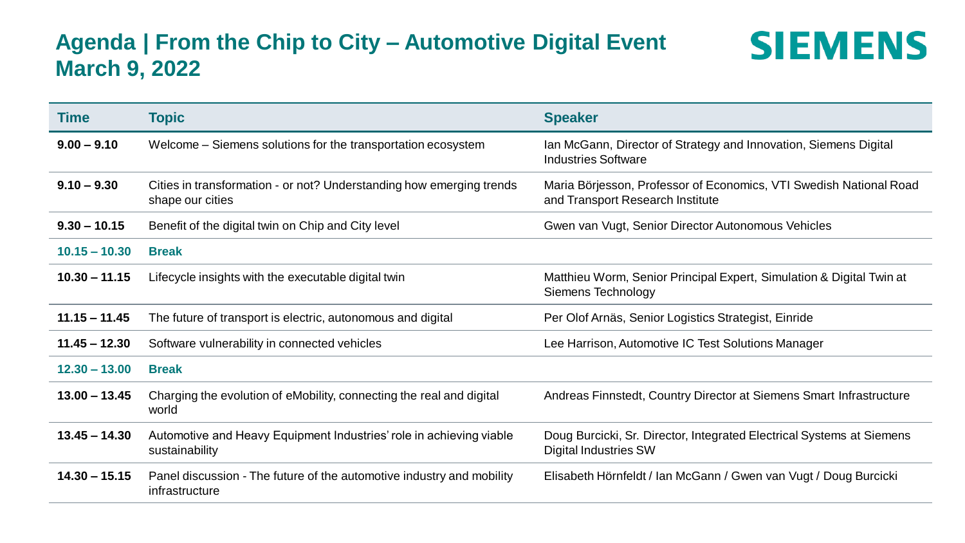## **Agenda | From the Chip to City – Automotive Digital Event March 9, 2022**



| <b>Time</b>     | <b>Topic</b>                                                                             | <b>Speaker</b>                                                                                         |
|-----------------|------------------------------------------------------------------------------------------|--------------------------------------------------------------------------------------------------------|
| $9.00 - 9.10$   | Welcome – Siemens solutions for the transportation ecosystem                             | Ian McGann, Director of Strategy and Innovation, Siemens Digital<br><b>Industries Software</b>         |
| $9.10 - 9.30$   | Cities in transformation - or not? Understanding how emerging trends<br>shape our cities | Maria Börjesson, Professor of Economics, VTI Swedish National Road<br>and Transport Research Institute |
| $9.30 - 10.15$  | Benefit of the digital twin on Chip and City level                                       | Gwen van Vugt, Senior Director Autonomous Vehicles                                                     |
| $10.15 - 10.30$ | <b>Break</b>                                                                             |                                                                                                        |
| $10.30 - 11.15$ | Lifecycle insights with the executable digital twin                                      | Matthieu Worm, Senior Principal Expert, Simulation & Digital Twin at<br>Siemens Technology             |
| $11.15 - 11.45$ | The future of transport is electric, autonomous and digital                              | Per Olof Arnäs, Senior Logistics Strategist, Einride                                                   |
| $11.45 - 12.30$ | Software vulnerability in connected vehicles                                             | Lee Harrison, Automotive IC Test Solutions Manager                                                     |
| $12.30 - 13.00$ | <b>Break</b>                                                                             |                                                                                                        |
| $13.00 - 13.45$ | Charging the evolution of eMobility, connecting the real and digital<br>world            | Andreas Finnstedt, Country Director at Siemens Smart Infrastructure                                    |
| $13.45 - 14.30$ | Automotive and Heavy Equipment Industries' role in achieving viable<br>sustainability    | Doug Burcicki, Sr. Director, Integrated Electrical Systems at Siemens<br><b>Digital Industries SW</b>  |
| $14.30 - 15.15$ | Panel discussion - The future of the automotive industry and mobility<br>infrastructure  | Elisabeth Hörnfeldt / Ian McGann / Gwen van Vugt / Doug Burcicki                                       |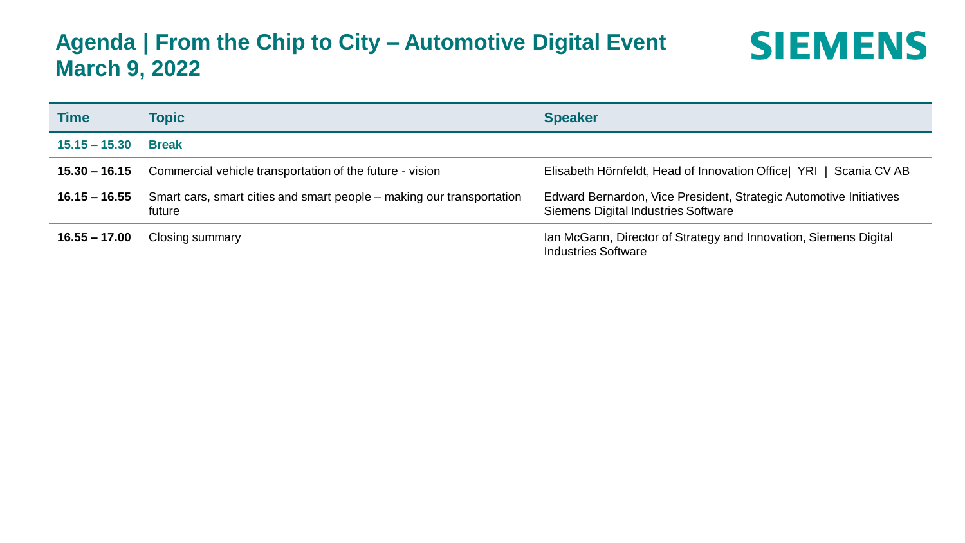## **Agenda | From the Chip to City – Automotive Digital Event March 9, 2022**



| <b>Time</b>     | Topic                                                                           | <b>Speaker</b>                                                                                                   |
|-----------------|---------------------------------------------------------------------------------|------------------------------------------------------------------------------------------------------------------|
| $15.15 - 15.30$ | <b>Break</b>                                                                    |                                                                                                                  |
| $15.30 - 16.15$ | Commercial vehicle transportation of the future - vision                        | Elisabeth Hörnfeldt, Head of Innovation Office  YRI   Scania CV AB                                               |
| $16.15 - 16.55$ | Smart cars, smart cities and smart people – making our transportation<br>future | Edward Bernardon, Vice President, Strategic Automotive Initiatives<br><b>Siemens Digital Industries Software</b> |
| $16.55 - 17.00$ | Closing summary                                                                 | Ian McGann, Director of Strategy and Innovation, Siemens Digital<br><b>Industries Software</b>                   |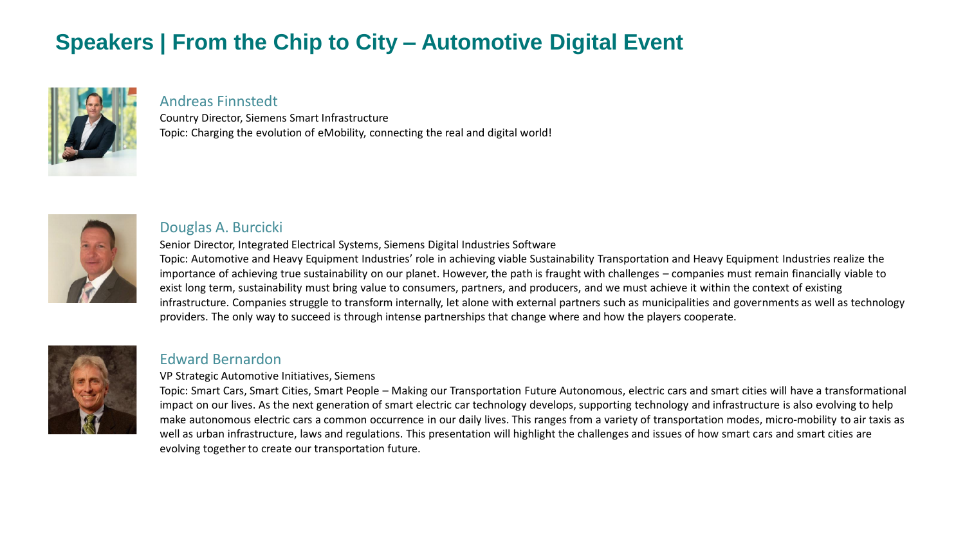## **Speakers | From the Chip to City – Automotive Digital Event**



### Andreas Finnstedt

Country Director, Siemens Smart Infrastructure Topic: Charging the evolution of eMobility, connecting the real and digital world!



### Douglas A. Burcicki

Senior Director, Integrated Electrical Systems, Siemens Digital Industries Software

Topic: Automotive and Heavy Equipment Industries' role in achieving viable Sustainability Transportation and Heavy Equipment Industries realize the importance of achieving true sustainability on our planet. However, the path is fraught with challenges – companies must remain financially viable to exist long term, sustainability must bring value to consumers, partners, and producers, and we must achieve it within the context of existing infrastructure. Companies struggle to transform internally, let alone with external partners such as municipalities and governments as well as technology providers. The only way to succeed is through intense partnerships that change where and how the players cooperate.



### Edward Bernardon

VP Strategic Automotive Initiatives, Siemens

Topic: Smart Cars, Smart Cities, Smart People – Making our Transportation Future Autonomous, electric cars and smart cities will have a transformational impact on our lives. As the next generation of smart electric car technology develops, supporting technology and infrastructure is also evolving to help make autonomous electric cars a common occurrence in our daily lives. This ranges from a variety of transportation modes, micro-mobility to air taxis as well as urban infrastructure, laws and regulations. This presentation will highlight the challenges and issues of how smart cars and smart cities are evolving together to create our transportation future.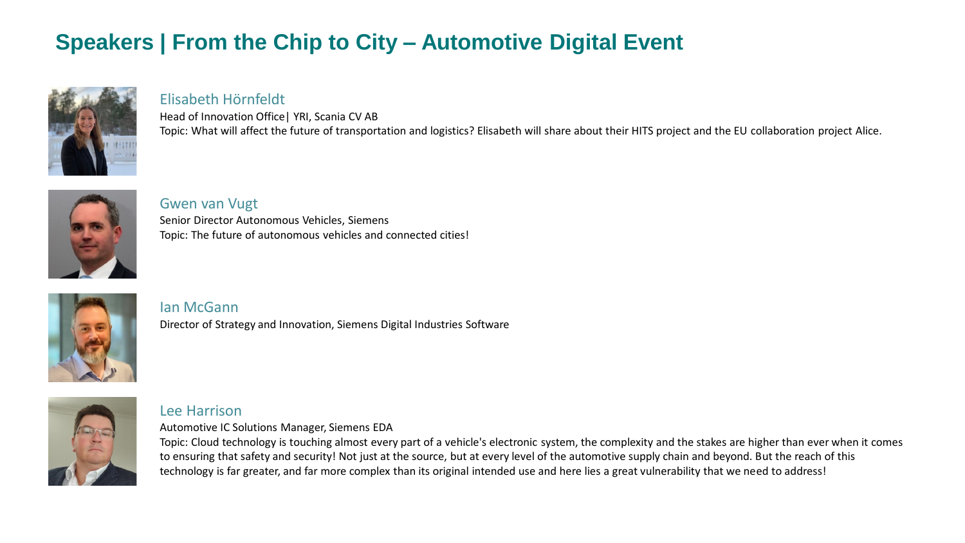# **Speakers | From the Chip to City – Automotive Digital Event**



### Elisabeth Hörnfeldt

Head of Innovation Office| YRI, Scania CV AB Topic: What will affect the future of transportation and logistics? Elisabeth will share about their HITS project and the EU collaboration project Alice.



### Gwen van Vugt

Senior Director Autonomous Vehicles, Siemens Topic: The future of autonomous vehicles and connected cities!



### Ian McGann

Director of Strategy and Innovation, Siemens Digital Industries Software



#### Lee Harrison

Automotive IC Solutions Manager, Siemens EDA

Topic: Cloud technology is touching almost every part of a vehicle's electronic system, the complexity and the stakes are higher than ever when it comes to ensuring that safety and security! Not just at the source, but at every level of the automotive supply chain and beyond. But the reach of this technology is far greater, and far more complex than its original intended use and here lies a great vulnerability that we need to address!